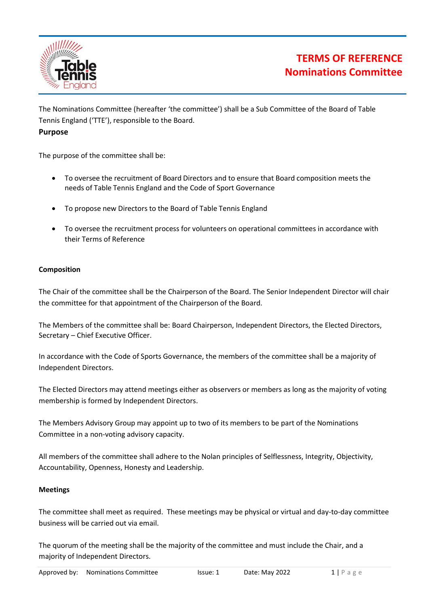

# **TERMS OF REFERENCE Nominations Committee**

The Nominations Committee (hereafter 'the committee') shall be a Sub Committee of the Board of Table Tennis England ('TTE'), responsible to the Board.

## **Purpose**

The purpose of the committee shall be:

- To oversee the recruitment of Board Directors and to ensure that Board composition meets the needs of Table Tennis England and the Code of Sport Governance
- To propose new Directors to the Board of Table Tennis England
- To oversee the recruitment process for volunteers on operational committees in accordance with their Terms of Reference

### **Composition**

The Chair of the committee shall be the Chairperson of the Board. The Senior Independent Director will chair the committee for that appointment of the Chairperson of the Board.

The Members of the committee shall be: Board Chairperson, Independent Directors, the Elected Directors, Secretary – Chief Executive Officer.

In accordance with the Code of Sports Governance, the members of the committee shall be a majority of Independent Directors.

The Elected Directors may attend meetings either as observers or members as long as the majority of voting membership is formed by Independent Directors.

The Members Advisory Group may appoint up to two of its members to be part of the Nominations Committee in a non-voting advisory capacity.

All members of the committee shall adhere to the Nolan principles of Selflessness, Integrity, Objectivity, Accountability, Openness, Honesty and Leadership.

### **Meetings**

The committee shall meet as required. These meetings may be physical or virtual and day-to-day committee business will be carried out via email.

The quorum of the meeting shall be the majority of the committee and must include the Chair, and a majority of Independent Directors.